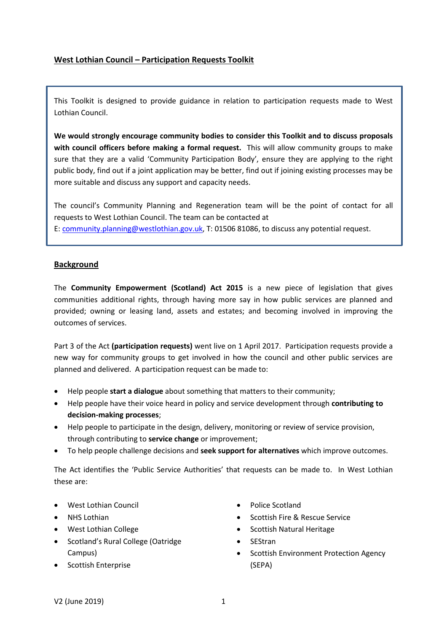This Toolkit is designed to provide guidance in relation to participation requests made to West Lothian Council.

**We would strongly encourage community bodies to consider this Toolkit and to discuss proposals with council officers before making a formal request.** This will allow community groups to make sure that they are a valid 'Community Participation Body', ensure they are applying to the right public body, find out if a joint application may be better, find out if joining existing processes may be more suitable and discuss any support and capacity needs.

The council's Community Planning and Regeneration team will be the point of contact for all requests to West Lothian Council. The team can be contacted at

E: [community.planning@westlothian.gov.uk,](mailto:community.planning@westlothian.gov.uk) T: 01506 81086, to discuss any potential request.

# **Background**

The **Community Empowerment (Scotland) Act 2015** is a new piece of legislation that gives communities additional rights, through having more say in how public services are planned and provided; owning or leasing land, assets and estates; and becoming involved in improving the outcomes of services.

Part 3 of the Act **(participation requests)** went live on 1 April 2017. Participation requests provide a new way for community groups to get involved in how the council and other public services are planned and delivered. A participation request can be made to:

- Help people **start a dialogue** about something that matters to their community;
- Help people have their voice heard in policy and service development through **contributing to decision-making processes**;
- Help people to participate in the design, delivery, monitoring or review of service provision, through contributing to **service change** or improvement;
- To help people challenge decisions and **seek support for alternatives** which improve outcomes.

The Act identifies the 'Public Service Authorities' that requests can be made to. In West Lothian these are:

- West Lothian Council
- NHS Lothian
- West Lothian College
- Scotland's Rural College (Oatridge Campus)
- Scottish Enterprise
- Police Scotland
- Scottish Fire & Rescue Service
- Scottish Natural Heritage
- SEStran
- Scottish Environment Protection Agency (SEPA)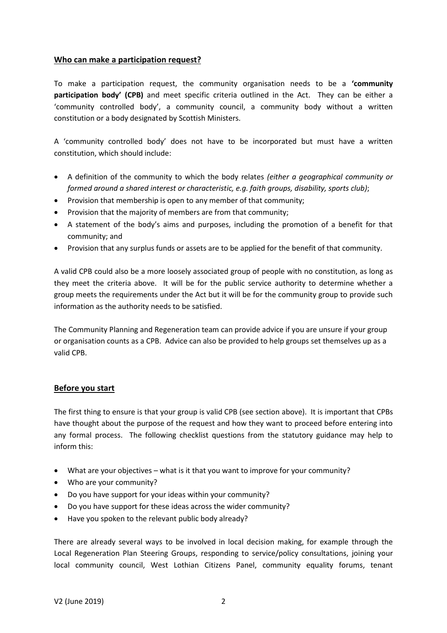# **Who can make a participation request?**

To make a participation request, the community organisation needs to be a **'community participation body' (CPB)** and meet specific criteria outlined in the Act. They can be either a 'community controlled body', a community council, a community body without a written constitution or a body designated by Scottish Ministers.

A 'community controlled body' does not have to be incorporated but must have a written constitution, which should include:

- A definition of the community to which the body relates *(either a geographical community or formed around a shared interest or characteristic, e.g. faith groups, disability, sports club)*;
- Provision that membership is open to any member of that community;
- Provision that the majority of members are from that community;
- A statement of the body's aims and purposes, including the promotion of a benefit for that community; and
- Provision that any surplus funds or assets are to be applied for the benefit of that community.

A valid CPB could also be a more loosely associated group of people with no constitution, as long as they meet the criteria above. It will be for the public service authority to determine whether a group meets the requirements under the Act but it will be for the community group to provide such information as the authority needs to be satisfied.

The Community Planning and Regeneration team can provide advice if you are unsure if your group or organisation counts as a CPB. Advice can also be provided to help groups set themselves up as a valid CPB.

### **Before you start**

The first thing to ensure is that your group is valid CPB (see section above). It is important that CPBs have thought about the purpose of the request and how they want to proceed before entering into any formal process. The following checklist questions from the statutory guidance may help to inform this:

- What are your objectives what is it that you want to improve for your community?
- Who are your community?
- Do you have support for your ideas within your community?
- Do you have support for these ideas across the wider community?
- Have you spoken to the relevant public body already?

There are already several ways to be involved in local decision making, for example through the Local Regeneration Plan Steering Groups, responding to service/policy consultations, joining your local community council, West Lothian Citizens Panel, community equality forums, tenant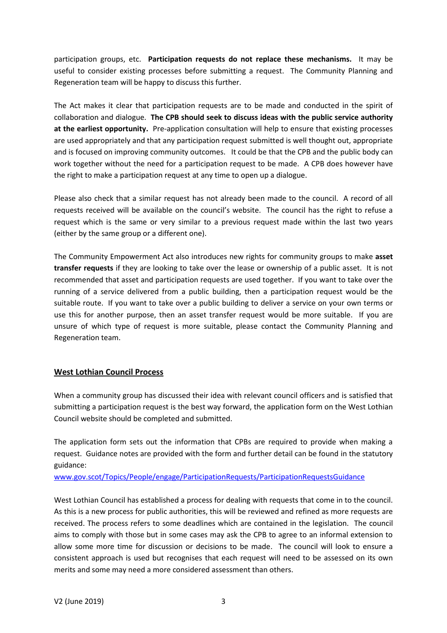participation groups, etc. **Participation requests do not replace these mechanisms.** It may be useful to consider existing processes before submitting a request. The Community Planning and Regeneration team will be happy to discuss this further.

The Act makes it clear that participation requests are to be made and conducted in the spirit of collaboration and dialogue. **The CPB should seek to discuss ideas with the public service authority at the earliest opportunity.** Pre-application consultation will help to ensure that existing processes are used appropriately and that any participation request submitted is well thought out, appropriate and is focused on improving community outcomes. It could be that the CPB and the public body can work together without the need for a participation request to be made. A CPB does however have the right to make a participation request at any time to open up a dialogue.

Please also check that a similar request has not already been made to the council. A record of all requests received will be available on the council's website. The council has the right to refuse a request which is the same or very similar to a previous request made within the last two years (either by the same group or a different one).

The Community Empowerment Act also introduces new rights for community groups to make **asset transfer requests** if they are looking to take over the lease or ownership of a public asset. It is not recommended that asset and participation requests are used together. If you want to take over the running of a service delivered from a public building, then a participation request would be the suitable route. If you want to take over a public building to deliver a service on your own terms or use this for another purpose, then an asset transfer request would be more suitable. If you are unsure of which type of request is more suitable, please contact the Community Planning and Regeneration team.

# **West Lothian Council Process**

When a community group has discussed their idea with relevant council officers and is satisfied that submitting a participation request is the best way forward, the application form on the West Lothian Council website should be completed and submitted.

The application form sets out the information that CPBs are required to provide when making a request. Guidance notes are provided with the form and further detail can be found in the statutory guidance:

[www.gov.scot/Topics/People/engage/ParticipationRequests/ParticipationRequestsGuidance](http://www.gov.scot/Topics/People/engage/ParticipationRequests/ParticipationRequestsGuidance)

West Lothian Council has established a process for dealing with requests that come in to the council. As this is a new process for public authorities, this will be reviewed and refined as more requests are received. The process refers to some deadlines which are contained in the legislation. The council aims to comply with those but in some cases may ask the CPB to agree to an informal extension to allow some more time for discussion or decisions to be made. The council will look to ensure a consistent approach is used but recognises that each request will need to be assessed on its own merits and some may need a more considered assessment than others.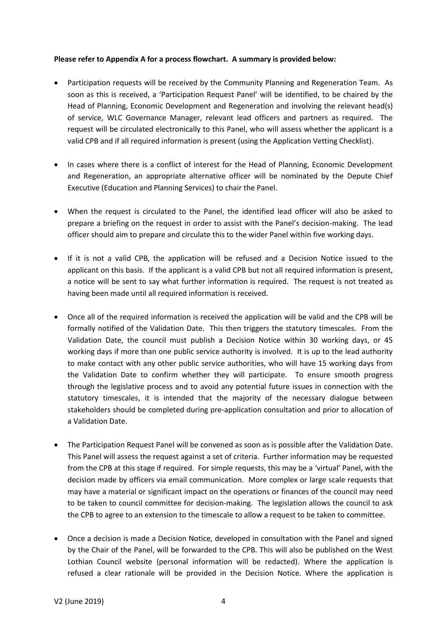## **Please refer to Appendix A for a process flowchart. A summary is provided below:**

- Participation requests will be received by the Community Planning and Regeneration Team. As soon as this is received, a 'Participation Request Panel' will be identified, to be chaired by the Head of Planning, Economic Development and Regeneration and involving the relevant head(s) of service, WLC Governance Manager, relevant lead officers and partners as required. The request will be circulated electronically to this Panel, who will assess whether the applicant is a valid CPB and if all required information is present (using the Application Vetting Checklist).
- In cases where there is a conflict of interest for the Head of Planning, Economic Development and Regeneration, an appropriate alternative officer will be nominated by the Depute Chief Executive (Education and Planning Services) to chair the Panel.
- When the request is circulated to the Panel, the identified lead officer will also be asked to prepare a briefing on the request in order to assist with the Panel's decision-making. The lead officer should aim to prepare and circulate this to the wider Panel within five working days.
- If it is not a valid CPB, the application will be refused and a Decision Notice issued to the applicant on this basis. If the applicant is a valid CPB but not all required information is present, a notice will be sent to say what further information is required. The request is not treated as having been made until all required information is received.
- Once all of the required information is received the application will be valid and the CPB will be formally notified of the Validation Date. This then triggers the statutory timescales. From the Validation Date, the council must publish a Decision Notice within 30 working days, or 45 working days if more than one public service authority is involved. It is up to the lead authority to make contact with any other public service authorities, who will have 15 working days from the Validation Date to confirm whether they will participate. To ensure smooth progress through the legislative process and to avoid any potential future issues in connection with the statutory timescales, it is intended that the majority of the necessary dialogue between stakeholders should be completed during pre-application consultation and prior to allocation of a Validation Date.
- The Participation Request Panel will be convened as soon as is possible after the Validation Date. This Panel will assess the request against a set of criteria. Further information may be requested from the CPB at this stage if required. For simple requests, this may be a 'virtual' Panel, with the decision made by officers via email communication. More complex or large scale requests that may have a material or significant impact on the operations or finances of the council may need to be taken to council committee for decision-making. The legislation allows the council to ask the CPB to agree to an extension to the timescale to allow a request to be taken to committee.
- Once a decision is made a Decision Notice, developed in consultation with the Panel and signed by the Chair of the Panel, will be forwarded to the CPB. This will also be published on the West Lothian Council website (personal information will be redacted). Where the application is refused a clear rationale will be provided in the Decision Notice. Where the application is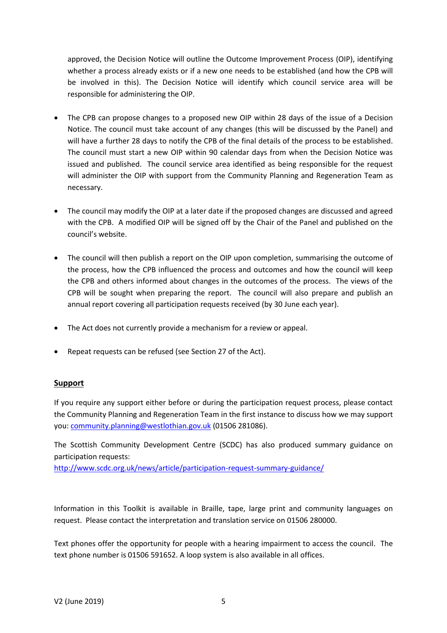approved, the Decision Notice will outline the Outcome Improvement Process (OIP), identifying whether a process already exists or if a new one needs to be established (and how the CPB will be involved in this). The Decision Notice will identify which council service area will be responsible for administering the OIP.

- The CPB can propose changes to a proposed new OIP within 28 days of the issue of a Decision Notice. The council must take account of any changes (this will be discussed by the Panel) and will have a further 28 days to notify the CPB of the final details of the process to be established. The council must start a new OIP within 90 calendar days from when the Decision Notice was issued and published. The council service area identified as being responsible for the request will administer the OIP with support from the Community Planning and Regeneration Team as necessary.
- The council may modify the OIP at a later date if the proposed changes are discussed and agreed with the CPB. A modified OIP will be signed off by the Chair of the Panel and published on the council's website.
- The council will then publish a report on the OIP upon completion, summarising the outcome of the process, how the CPB influenced the process and outcomes and how the council will keep the CPB and others informed about changes in the outcomes of the process. The views of the CPB will be sought when preparing the report. The council will also prepare and publish an annual report covering all participation requests received (by 30 June each year).
- The Act does not currently provide a mechanism for a review or appeal.
- Repeat requests can be refused (see Section 27 of the Act).

# **Support**

If you require any support either before or during the participation request process, please contact the Community Planning and Regeneration Team in the first instance to discuss how we may support you: [community.planning@westlothian.gov.uk](mailto:community.planning@westlothian.gov.uk) (01506 281086).

The Scottish Community Development Centre (SCDC) has also produced summary guidance on participation requests:

<http://www.scdc.org.uk/news/article/participation-request-summary-guidance/>

Information in this Toolkit is available in Braille, tape, large print and community languages on request. Please contact the interpretation and translation service on 01506 280000.

Text phones offer the opportunity for people with a hearing impairment to access the council. The text phone number is 01506 591652. A loop system is also available in all offices.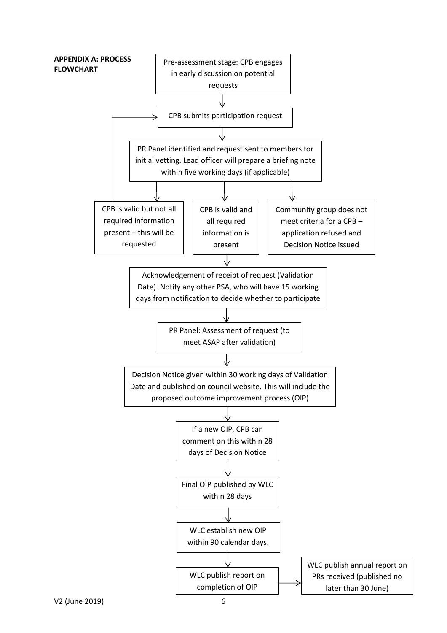